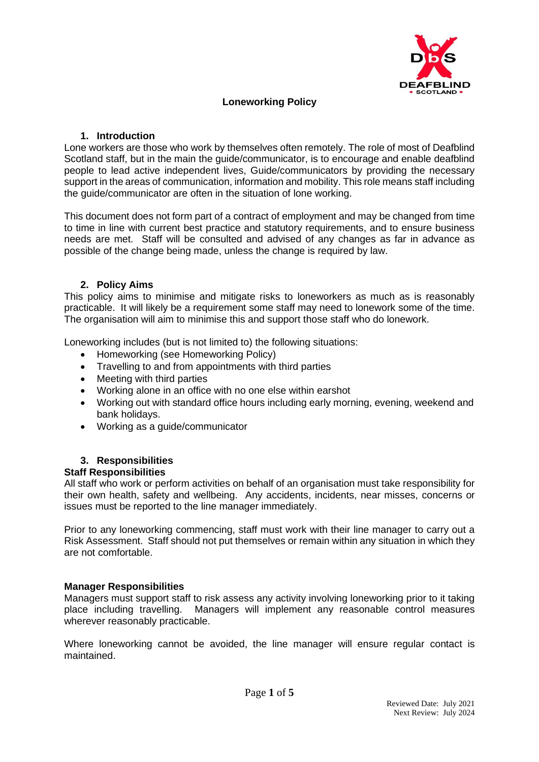

# **Loneworking Policy**

#### **1. Introduction**

Lone workers are those who work by themselves often remotely. The role of most of Deafblind Scotland staff, but in the main the guide/communicator, is to encourage and enable deafblind people to lead active independent lives, Guide/communicators by providing the necessary support in the areas of communication, information and mobility. This role means staff including the guide/communicator are often in the situation of lone working.

This document does not form part of a contract of employment and may be changed from time to time in line with current best practice and statutory requirements, and to ensure business needs are met. Staff will be consulted and advised of any changes as far in advance as possible of the change being made, unless the change is required by law.

### **2. Policy Aims**

This policy aims to minimise and mitigate risks to loneworkers as much as is reasonably practicable. It will likely be a requirement some staff may need to lonework some of the time. The organisation will aim to minimise this and support those staff who do lonework.

Loneworking includes (but is not limited to) the following situations:

- Homeworking (see Homeworking Policy)
- Travelling to and from appointments with third parties
- Meeting with third parties
- Working alone in an office with no one else within earshot
- Working out with standard office hours including early morning, evening, weekend and bank holidays.
- Working as a guide/communicator

# **3. Responsibilities**

#### **Staff Responsibilities**

All staff who work or perform activities on behalf of an organisation must take responsibility for their own health, safety and wellbeing. Any accidents, incidents, near misses, concerns or issues must be reported to the line manager immediately.

Prior to any loneworking commencing, staff must work with their line manager to carry out a Risk Assessment. Staff should not put themselves or remain within any situation in which they are not comfortable.

#### **Manager Responsibilities**

Managers must support staff to risk assess any activity involving loneworking prior to it taking place including travelling. Managers will implement any reasonable control measures wherever reasonably practicable.

Where loneworking cannot be avoided, the line manager will ensure regular contact is maintained.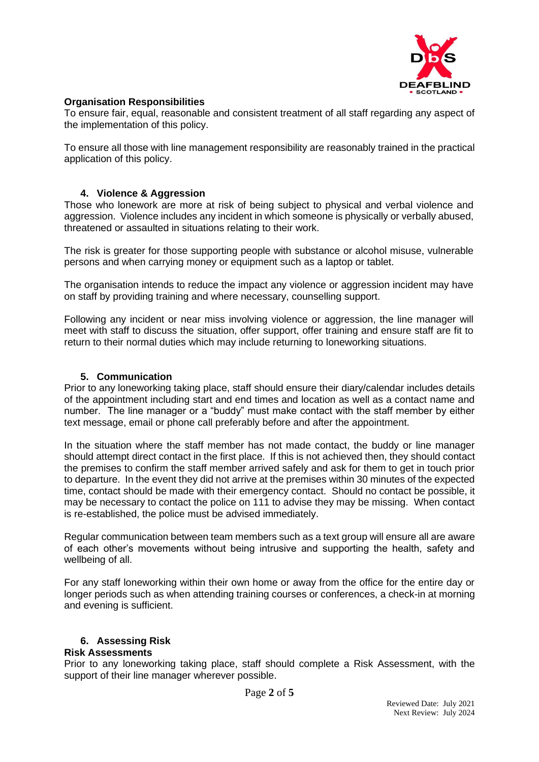

# **Organisation Responsibilities**

To ensure fair, equal, reasonable and consistent treatment of all staff regarding any aspect of the implementation of this policy.

To ensure all those with line management responsibility are reasonably trained in the practical application of this policy.

# **4. Violence & Aggression**

Those who lonework are more at risk of being subject to physical and verbal violence and aggression. Violence includes any incident in which someone is physically or verbally abused, threatened or assaulted in situations relating to their work.

The risk is greater for those supporting people with substance or alcohol misuse, vulnerable persons and when carrying money or equipment such as a laptop or tablet.

The organisation intends to reduce the impact any violence or aggression incident may have on staff by providing training and where necessary, counselling support.

Following any incident or near miss involving violence or aggression, the line manager will meet with staff to discuss the situation, offer support, offer training and ensure staff are fit to return to their normal duties which may include returning to loneworking situations.

# **5. Communication**

Prior to any loneworking taking place, staff should ensure their diary/calendar includes details of the appointment including start and end times and location as well as a contact name and number. The line manager or a "buddy" must make contact with the staff member by either text message, email or phone call preferably before and after the appointment.

In the situation where the staff member has not made contact, the buddy or line manager should attempt direct contact in the first place. If this is not achieved then, they should contact the premises to confirm the staff member arrived safely and ask for them to get in touch prior to departure. In the event they did not arrive at the premises within 30 minutes of the expected time, contact should be made with their emergency contact. Should no contact be possible, it may be necessary to contact the police on 111 to advise they may be missing. When contact is re-established, the police must be advised immediately.

Regular communication between team members such as a text group will ensure all are aware of each other's movements without being intrusive and supporting the health, safety and wellbeing of all.

For any staff loneworking within their own home or away from the office for the entire day or longer periods such as when attending training courses or conferences, a check-in at morning and evening is sufficient.

# **6. Assessing Risk**

# **Risk Assessments**

Prior to any loneworking taking place, staff should complete a Risk Assessment, with the support of their line manager wherever possible.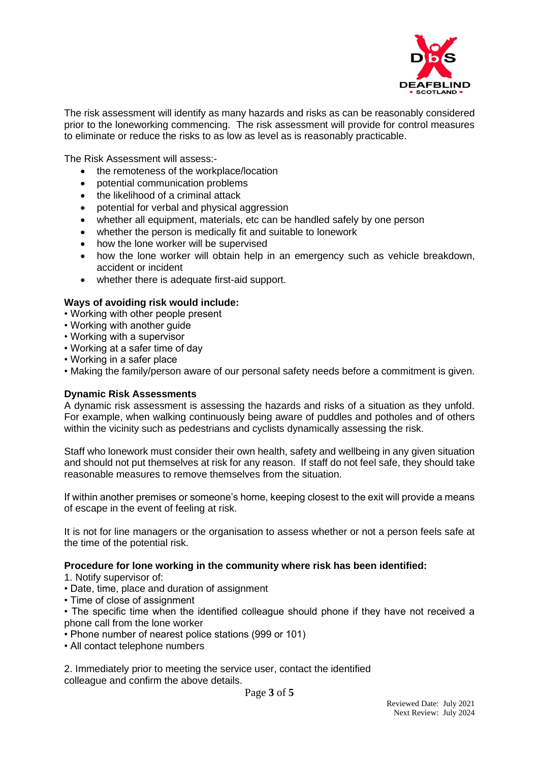

The risk assessment will identify as many hazards and risks as can be reasonably considered prior to the loneworking commencing. The risk assessment will provide for control measures to eliminate or reduce the risks to as low as level as is reasonably practicable.

The Risk Assessment will assess:-

- the remoteness of the workplace/location
- potential communication problems
- the likelihood of a criminal attack
- potential for verbal and physical aggression
- whether all equipment, materials, etc can be handled safely by one person
- whether the person is medically fit and suitable to lonework
- how the lone worker will be supervised
- how the lone worker will obtain help in an emergency such as vehicle breakdown, accident or incident
- whether there is adequate first-aid support.

#### **Ways of avoiding risk would include:**

- Working with other people present
- Working with another guide
- Working with a supervisor
- Working at a safer time of day
- Working in a safer place
- Making the family/person aware of our personal safety needs before a commitment is given.

#### **Dynamic Risk Assessments**

A dynamic risk assessment is assessing the hazards and risks of a situation as they unfold. For example, when walking continuously being aware of puddles and potholes and of others within the vicinity such as pedestrians and cyclists dynamically assessing the risk.

Staff who lonework must consider their own health, safety and wellbeing in any given situation and should not put themselves at risk for any reason. If staff do not feel safe, they should take reasonable measures to remove themselves from the situation.

If within another premises or someone's home, keeping closest to the exit will provide a means of escape in the event of feeling at risk.

It is not for line managers or the organisation to assess whether or not a person feels safe at the time of the potential risk.

#### **Procedure for lone working in the community where risk has been identified:**

- 1. Notify supervisor of:
- Date, time, place and duration of assignment
- Time of close of assignment

• The specific time when the identified colleague should phone if they have not received a phone call from the lone worker

- Phone number of nearest police stations (999 or 101)
- All contact telephone numbers

2. Immediately prior to meeting the service user, contact the identified colleague and confirm the above details.

Page **3** of **5**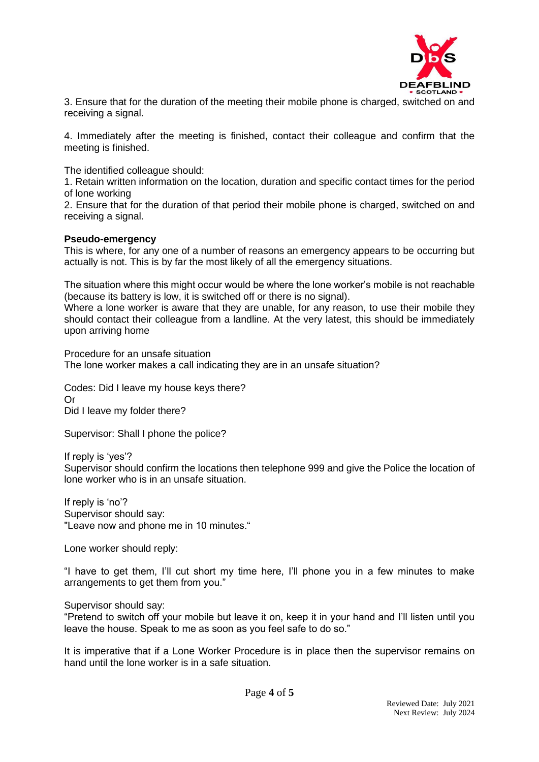

3. Ensure that for the duration of the meeting their mobile phone is charged, switched on and receiving a signal.

4. Immediately after the meeting is finished, contact their colleague and confirm that the meeting is finished.

The identified colleague should:

1. Retain written information on the location, duration and specific contact times for the period of lone working

2. Ensure that for the duration of that period their mobile phone is charged, switched on and receiving a signal.

#### **Pseudo-emergency**

This is where, for any one of a number of reasons an emergency appears to be occurring but actually is not. This is by far the most likely of all the emergency situations.

The situation where this might occur would be where the lone worker's mobile is not reachable (because its battery is low, it is switched off or there is no signal).

Where a lone worker is aware that they are unable, for any reason, to use their mobile they should contact their colleague from a landline. At the very latest, this should be immediately upon arriving home

Procedure for an unsafe situation The lone worker makes a call indicating they are in an unsafe situation?

Codes: Did I leave my house keys there? Or Did I leave my folder there?

Supervisor: Shall I phone the police?

If reply is 'yes'? Supervisor should confirm the locations then telephone 999 and give the Police the location of lone worker who is in an unsafe situation.

If reply is 'no'? Supervisor should say: "Leave now and phone me in 10 minutes."

Lone worker should reply:

"I have to get them, I'll cut short my time here, I'll phone you in a few minutes to make arrangements to get them from you."

Supervisor should say:

"Pretend to switch off your mobile but leave it on, keep it in your hand and I'll listen until you leave the house. Speak to me as soon as you feel safe to do so."

It is imperative that if a Lone Worker Procedure is in place then the supervisor remains on hand until the lone worker is in a safe situation.